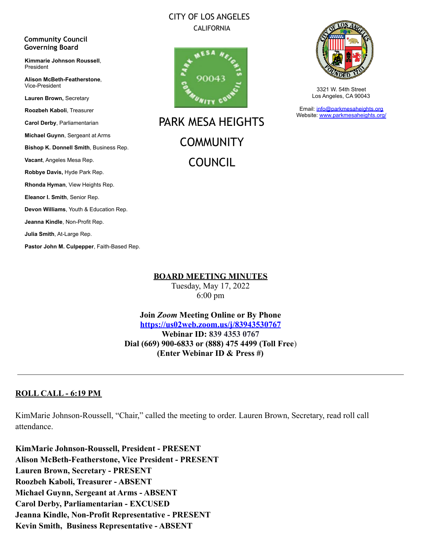#### CITY OF LOS ANGELES CALIFORNIA



PARK MESA HEIGHTS **COMMUNITY** COUNCIL



3321 W. 54th Street Los Angeles, CA 90043

Email: [info@parkmesaheights.org](mailto:info@parkmesaheights.org) Website: [www.parkmesaheights.org/](http://www.parkmesaheights.org/)

**Lauren Brown,** Secretary **Roozbeh Kaboli**, Treasurer **Carol Derby**, Parliamentarian **Michael Guynn**, Sergeant at Arms **Bishop K. Donnell Smith**, Business Rep. **Vacant**, Angeles Mesa Rep. **Robbye Davis,** Hyde Park Rep. **Rhonda Hyman**, View Heights Rep. **Eleanor I. Smith**, Senior Rep. **Devon Williams**, Youth & Education Rep. **Jeanna Kindle**, Non-Profit Rep. **Julia Smith**, At-Large Rep.

**Pastor John M. Culpepper**, Faith-Based Rep.

**Community Council Governing Board**

President

Vice-President

**Kimmarie Johnson Roussell**,

**Alison McBeth-Featherstone**,

**BOARD MEETING MINUTES**

Tuesday, May 17, 2022 6:00 pm

**Join** *Zoom* **Meeting Online or By Phone <https://us02web.zoom.us/j/83943530767> Webinar ID: 839 4353 0767 Dial (669) 900-6833 or (888) 475 4499 (Toll Free**) **(Enter Webinar ID & Press #)**

### **ROLL CALL - 6:19 PM**

KimMarie Johnson-Roussell, "Chair," called the meeting to order. Lauren Brown, Secretary, read roll call attendance.

**KimMarie Johnson-Roussell, President - PRESENT Alison McBeth-Featherstone, Vice President - PRESENT Lauren Brown, Secretary - PRESENT Roozbeh Kaboli, Treasurer - ABSENT Michael Guynn, Sergeant at Arms - ABSENT Carol Derby, Parliamentarian - EXCUSED Jeanna Kindle, Non-Profit Representative - PRESENT Kevin Smith, Business Representative - ABSENT**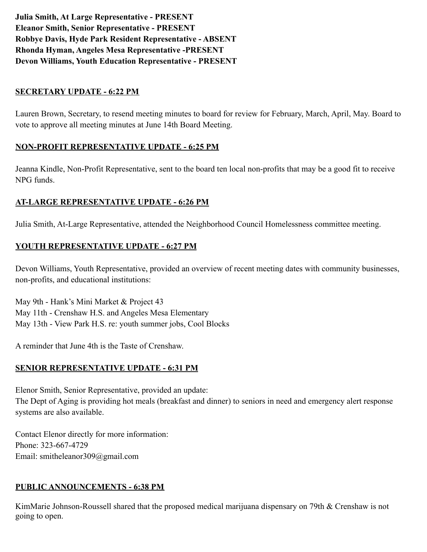**Julia Smith, At Large Representative - PRESENT Eleanor Smith, Senior Representative - PRESENT Robbye Davis, Hyde Park Resident Representative - ABSENT Rhonda Hyman, Angeles Mesa Representative -PRESENT Devon Williams, Youth Education Representative - PRESENT**

#### **SECRETARY UPDATE - 6:22 PM**

Lauren Brown, Secretary, to resend meeting minutes to board for review for February, March, April, May. Board to vote to approve all meeting minutes at June 14th Board Meeting.

#### **NON-PROFIT REPRESENTATIVE UPDATE - 6:25 PM**

Jeanna Kindle, Non-Profit Representative, sent to the board ten local non-profits that may be a good fit to receive NPG funds.

#### **AT-LARGE REPRESENTATIVE UPDATE - 6:26 PM**

Julia Smith, At-Large Representative, attended the Neighborhood Council Homelessness committee meeting.

#### **YOUTH REPRESENTATIVE UPDATE - 6:27 PM**

Devon Williams, Youth Representative, provided an overview of recent meeting dates with community businesses, non-profits, and educational institutions:

May 9th - Hank's Mini Market & Project 43 May 11th - Crenshaw H.S. and Angeles Mesa Elementary May 13th - View Park H.S. re: youth summer jobs, Cool Blocks

A reminder that June 4th is the Taste of Crenshaw.

### **SENIOR REPRESENTATIVE UPDATE - 6:31 PM**

Elenor Smith, Senior Representative, provided an update: The Dept of Aging is providing hot meals (breakfast and dinner) to seniors in need and emergency alert response systems are also available.

Contact Elenor directly for more information: Phone: 323-667-4729 Email: smitheleanor309@gmail.com

### **PUBLIC ANNOUNCEMENTS - 6:38 PM**

KimMarie Johnson-Roussell shared that the proposed medical marijuana dispensary on 79th & Crenshaw is not going to open.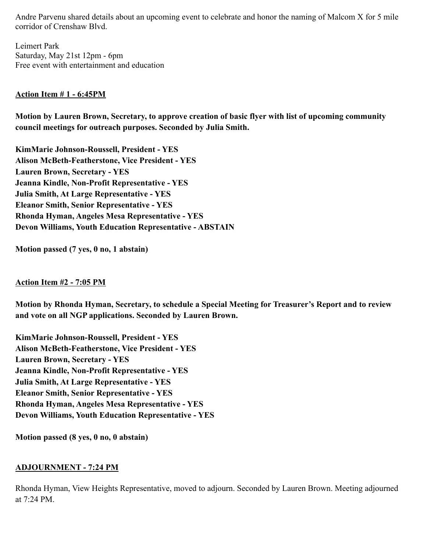Andre Parvenu shared details about an upcoming event to celebrate and honor the naming of Malcom X for 5 mile corridor of Crenshaw Blvd.

Leimert Park Saturday, May 21st 12pm - 6pm Free event with entertainment and education

#### **Action Item # 1 - 6:45PM**

**Motion by Lauren Brown, Secretary, to approve creation of basic flyer with list of upcoming community council meetings for outreach purposes. Seconded by Julia Smith.**

**KimMarie Johnson-Roussell, President - YES Alison McBeth-Featherstone, Vice President - YES Lauren Brown, Secretary - YES Jeanna Kindle, Non-Profit Representative - YES Julia Smith, At Large Representative - YES Eleanor Smith, Senior Representative - YES Rhonda Hyman, Angeles Mesa Representative - YES Devon Williams, Youth Education Representative - ABSTAIN**

**Motion passed (7 yes, 0 no, 1 abstain)**

#### **Action Item #2 - 7:05 PM**

**Motion by Rhonda Hyman, Secretary, to schedule a Special Meeting for Treasurer's Report and to review and vote on all NGP applications. Seconded by Lauren Brown.**

**KimMarie Johnson-Roussell, President - YES Alison McBeth-Featherstone, Vice President - YES Lauren Brown, Secretary - YES Jeanna Kindle, Non-Profit Representative - YES Julia Smith, At Large Representative - YES Eleanor Smith, Senior Representative - YES Rhonda Hyman, Angeles Mesa Representative - YES Devon Williams, Youth Education Representative - YES**

**Motion passed (8 yes, 0 no, 0 abstain)**

#### **ADJOURNMENT - 7:24 PM**

Rhonda Hyman, View Heights Representative, moved to adjourn. Seconded by Lauren Brown. Meeting adjourned at 7:24 PM.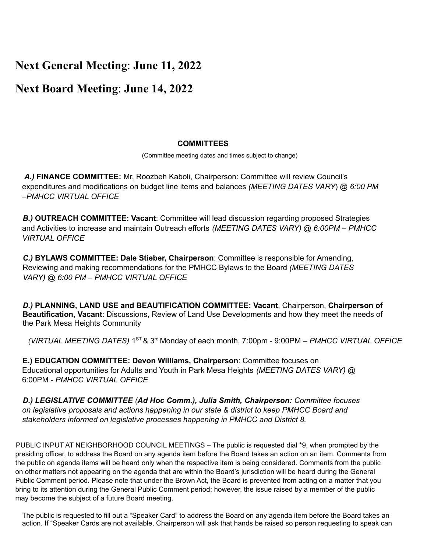## **Next General Meeting**: **June 11, 2022**

### **Next Board Meeting**: **June 14, 2022**

#### **COMMITTEES**

(Committee meeting dates and times subject to change)

*A.)* **FINANCE COMMITTEE:** Mr, Roozbeh Kaboli, Chairperson: Committee will review Council's expenditures and modifications on budget line items and balances *(MEETING DATES VARY*) @ *6:00 PM –PMHCC VIRTUAL OFFICE*

*B.)* **OUTREACH COMMITTEE: Vacant**: Committee will lead discussion regarding proposed Strategies and Activities to increase and maintain Outreach efforts *(MEETING DATES VARY) @ 6:00PM – PMHCC VIRTUAL OFFICE*

*C.)* **BYLAWS COMMITTEE: Dale Stieber, Chairperson**: Committee is responsible for Amending, Reviewing and making recommendations for the PMHCC Bylaws to the Board *(MEETING DATES VARY) @ 6:00 PM – PMHCC VIRTUAL OFFICE*

*D.)* **PLANNING, LAND USE and BEAUTIFICATION COMMITTEE: Vacant**, Chairperson, **Chairperson of Beautification, Vacant**: Discussions, Review of Land Use Developments and how they meet the needs of the Park Mesa Heights Community

*(VIRTUAL MEETING DATES)* 1 ST & 3 rd Monday of each month, 7:00pm - 9:00PM *– PMHCC VIRTUAL OFFICE*

**E.) EDUCATION COMMITTEE: Devon Williams, Chairperson**: Committee focuses on Educational opportunities for Adults and Youth in Park Mesa Heights *(MEETING DATES VARY)* @ 6:00PM - *PMHCC VIRTUAL OFFICE*

*D.) LEGISLATIVE COMMITTEE (Ad Hoc Comm.), Julia Smith, Chairperson: Committee focuses on legislative proposals and actions happening in our state & district to keep PMHCC Board and stakeholders informed on legislative processes happening in PMHCC and District 8.*

PUBLIC INPUT AT NEIGHBORHOOD COUNCIL MEETINGS – The public is requested dial \*9, when prompted by the presiding officer, to address the Board on any agenda item before the Board takes an action on an item. Comments from the public on agenda items will be heard only when the respective item is being considered. Comments from the public on other matters not appearing on the agenda that are within the Board's jurisdiction will be heard during the General Public Comment period. Please note that under the Brown Act, the Board is prevented from acting on a matter that you bring to its attention during the General Public Comment period; however, the issue raised by a member of the public may become the subject of a future Board meeting.

The public is requested to fill out a "Speaker Card" to address the Board on any agenda item before the Board takes an action. If "Speaker Cards are not available, Chairperson will ask that hands be raised so person requesting to speak can